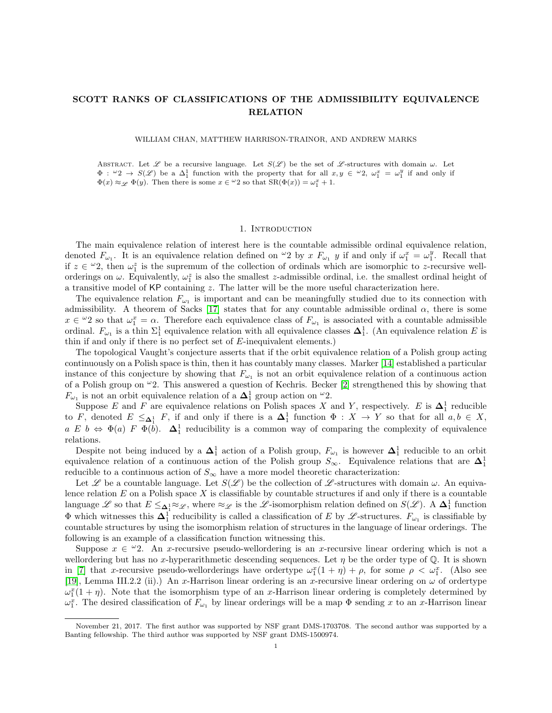# SCOTT RANKS OF CLASSIFICATIONS OF THE ADMISSIBILITY EQUIVALENCE RELATION

#### WILLIAM CHAN, MATTHEW HARRISON-TRAINOR, AND ANDREW MARKS

ABSTRACT. Let  $\mathscr L$  be a recursive language. Let  $S(\mathscr L)$  be the set of  $\mathscr L$ -structures with domain  $\omega$ . Let  $\Phi: \omega_2 \to S(\mathscr{L})$  be a  $\Delta_1^1$  function with the property that for all  $x, y \in \omega_2$ ,  $\omega_1^x = \omega_1^y$  if and only if  $\Phi(x) \approx_{\mathscr{L}} \Phi(y)$ . Then there is some  $x \in {}^{\omega}2$  so that  $\text{SR}(\Phi(x)) = \omega_1^x + 1$ .

### 1. INTRODUCTION

The main equivalence relation of interest here is the countable admissible ordinal equivalence relation, denoted  $F_{\omega_1}$ . It is an equivalence relation defined on "2 by x  $F_{\omega_1}$  y if and only if  $\omega_1^x = \omega_1^y$ . Recall that if  $z \in \mathcal{Q}_2$ , then  $\omega_1^z$  is the supremum of the collection of ordinals which are isomorphic to z-recursive wellorderings on  $\omega$ . Equivalently,  $\omega_1^z$  is also the smallest z-admissible ordinal, i.e. the smallest ordinal height of a transitive model of KP containing z. The latter will be the more useful characterization here.

The equivalence relation  $F_{\omega_1}$  is important and can be meaningfully studied due to its connection with admissibility. A theorem of Sacks [\[17\]](#page-8-0) states that for any countable admissible ordinal  $\alpha$ , there is some  $x \in \mathcal{L}$  so that  $\omega_1^x = \alpha$ . Therefore each equivalence class of  $F_{\omega_1}$  is associated with a countable admissible ordinal.  $F_{\omega_1}$  is a thin  $\Sigma_1^1$  equivalence relation with all equivalence classes  $\Delta_1^1$ . (An equivalence relation E is thin if and only if there is no perfect set of E-inequivalent elements.)

The topological Vaught's conjecture asserts that if the orbit equivalence relation of a Polish group acting continuously on a Polish space is thin, then it has countably many classes. Marker [\[14\]](#page-8-1) established a particular instance of this conjecture by showing that  $F_{\omega_1}$  is not an orbit equivalence relation of a continuous action of a Polish group on  $\omega_2$ . This answered a question of Kechris. Becker [\[2\]](#page-7-0) strengthened this by showing that  $F_{\omega_1}$  is not an orbit equivalence relation of a  $\Delta_1^1$  group action on  $^{\omega_2}$ .

Suppose E and F are equivalence relations on Polish spaces X and Y, respectively. E is  $\Delta_1^1$  reducible to F, denoted  $E \leq_{\Delta_1^1} F$ , if and only if there is a  $\Delta_1^1$  function  $\Phi : X \to Y$  so that for all  $a, b \in X$ ,  $a E b \Leftrightarrow \Phi(a) F \Phi(b)$ .  $\Delta_1^1$  reducibility is a common way of comparing the complexity of equivalence relations.

Despite not being induced by a  $\Delta_1^1$  action of a Polish group,  $F_{\omega_1}$  is however  $\Delta_1^1$  reducible to an orbit equivalence relation of a continuous action of the Polish group  $S_{\infty}$ . Equivalence relations that are  $\Delta_1^1$ reducible to a continuous action of  $S_{\infty}$  have a more model theoretic characterization:

Let L be a countable language. Let  $S(\mathcal{L})$  be the collection of L-structures with domain  $\omega$ . An equivalence relation  $E$  on a Polish space  $X$  is classifiable by countable structures if and only if there is a countable language L so that  $E \leq_{\mathbf{\Delta}_1^1} \approx_{\mathcal{L}}$ , where  $\approx_{\mathcal{L}}$  is the L-isomorphism relation defined on  $S(\mathcal{L})$ . A  $\mathbf{\Delta}_1^1$  function  $\Phi$  which witnesses this  $\Delta_1^1$  reducibility is called a classification of E by  $\mathscr{L}$ -structures.  $F_{\omega_1}$  is classifiable by countable structures by using the isomorphism relation of structures in the language of linear orderings. The following is an example of a classification function witnessing this.

Suppose  $x \in \mathcal{Q}$ . An x-recursive pseudo-wellordering is an x-recursive linear ordering which is not a wellordering but has no x-hyperarithmetic descending sequences. Let  $\eta$  be the order type of  $\mathbb{Q}$ . It is shown in [\[7\]](#page-7-1) that x-recursive pseudo-wellorderings have order type  $\omega_1^x(1 + \eta) + \rho$ , for some  $\rho < \omega_1^x$ . (Also see [\[19\]](#page-8-2), Lemma III.2.2 (ii).) An x-Harrison linear ordering is an x-recursive linear ordering on  $\omega$  of ordertype  $\omega_1^x(1+\eta)$ . Note that the isomorphism type of an x-Harrison linear ordering is completely determined by  $\omega_1^x$ . The desired classification of  $F_{\omega_1}$  by linear orderings will be a map  $\Phi$  sending x to an x-Harrison linear

November 21, 2017. The first author was supported by NSF grant DMS-1703708. The second author was supported by a Banting fellowship. The third author was supported by NSF grant DMS-1500974.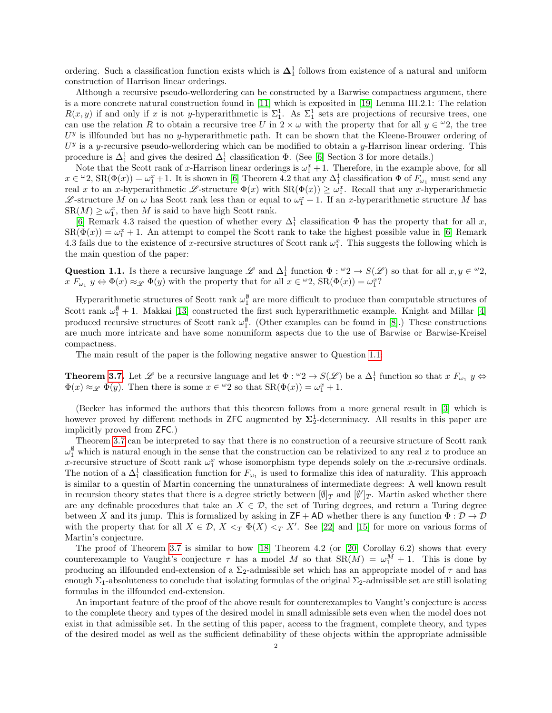ordering. Such a classification function exists which is  $\Delta_1^1$  follows from existence of a natural and uniform construction of Harrison linear orderings.

Although a recursive pseudo-wellordering can be constructed by a Barwise compactness argument, there is a more concrete natural construction found in [\[11\]](#page-7-2) which is exposited in [\[19\]](#page-8-2) Lemma III.2.1: The relation  $R(x, y)$  if and only if x is not y-hyperarithmetic is  $\Sigma_1^1$ . As  $\Sigma_1^1$  sets are projections of recursive trees, one can use the relation R to obtain a recursive tree U in  $2 \times \omega$  with the property that for all  $y \in {}^{\omega}2$ , the tree  $U<sup>y</sup>$  is illfounded but has no y-hyperarithmetic path. It can be shown that the Kleene-Brouwer ordering of  $U<sup>y</sup>$  is a y-recursive pseudo-wellordering which can be modified to obtain a y-Harrison linear ordering. This procedure is  $\Delta_1^1$  and gives the desired  $\Delta_1^1$  classification  $\Phi$ . (See [\[6\]](#page-7-3) Section 3 for more details.)

Note that the Scott rank of x-Harrison linear orderings is  $\omega_1^x + 1$ . Therefore, in the example above, for all  $x \in \omega$ ,  $\text{SR}(\Phi(x)) = \omega_1^x + 1$ . It is shown in [\[6\]](#page-7-3) Theorem 4.2 that any  $\Delta_1^1$  classification  $\Phi$  of  $F_{\omega_1}$  must send any real x to an x-hyperarithmetic  $\mathscr{L}$ -structure  $\Phi(x)$  with  $\text{SR}(\Phi(x)) \geq \omega_1^x$ . Recall that any x-hyperarithmetic L-structure M on  $\omega$  has Scott rank less than or equal to  $\omega_1^x + 1$ . If an x-hyperarithmetic structure M has  $SR(M) \geq \omega_1^x$ , then M is said to have high Scott rank.

[\[6\]](#page-7-3) Remark 4.3 raised the question of whether every  $\Delta_1^1$  classification  $\Phi$  has the property that for all x,  $\text{SR}(\Phi(x)) = \omega_1^x + 1$ . An attempt to compel the Scott rank to take the highest possible value in [\[6\]](#page-7-3) Remark 4.3 fails due to the existence of x-recursive structures of Scott rank  $\omega_1^x$ . This suggests the following which is the main question of the paper:

<span id="page-1-0"></span>Question 1.1. Is there a recursive language  $\mathscr L$  and  $\Delta_1^1$  function  $\Phi: \omega_2 \to S(\mathscr L)$  so that for all  $x, y \in \omega_2$ ,  $x F_{\omega_1} y \Leftrightarrow \Phi(x) \approx_{\mathscr{L}} \Phi(y)$  with the property that for all  $x \in {}^{\omega}2$ ,  $\text{SR}(\Phi(x)) = \omega_1^x?$ 

Hyperarithmetic structures of Scott rank  $\omega_1^{\emptyset}$  are more difficult to produce than computable structures of Scott rank  $\omega_1^{\emptyset} + 1$ . Makkai [\[13\]](#page-8-3) constructed the first such hyperarithmetic example. Knight and Millar [\[4\]](#page-7-4) produced recursive structures of Scott rank  $\omega_1^{\emptyset}$ . (Other examples can be found in [\[8\]](#page-7-5).) These constructions are much more intricate and have some nonuniform aspects due to the use of Barwise or Barwise-Kreisel compactness.

The main result of the paper is the following negative answer to Question [1.1:](#page-1-0)

**Theorem [3.7.](#page-5-0)** Let  $\mathscr L$  be a recursive language and let  $\Phi : \omega_2 \to S(\mathscr L)$  be a  $\Delta_1^1$  function so that  $x F_{\omega_1} y \Leftrightarrow$  $\Phi(x) \approx_{\mathscr{L}} \Phi(y)$ . Then there is some  $x \in {}^{\omega}2$  so that  $\text{SR}(\Phi(x)) = \omega_1^x + 1$ .

(Becker has informed the authors that this theorem follows from a more general result in [\[3\]](#page-7-6) which is however proved by different methods in ZFC augmented by  $\Sigma_2^1$ -determinacy. All results in this paper are implicitly proved from ZFC.)

Theorem [3.7](#page-5-0) can be interpreted to say that there is no construction of a recursive structure of Scott rank  $\omega_1^{\emptyset}$  which is natural enough in the sense that the construction can be relativized to any real x to produce an x-recursive structure of Scott rank  $\omega_1^x$  whose isomorphism type depends solely on the x-recursive ordinals. The notion of a  $\Delta_1^1$  classification function for  $F_{\omega_1}$  is used to formalize this idea of naturality. This approach is similar to a questin of Martin concerning the unnaturalness of intermediate degrees: A well known result in recursion theory states that there is a degree strictly between  $[\emptyset]_T$  and  $[\emptyset']_T$ . Martin asked whether there are any definable procedures that take an  $X \in \mathcal{D}$ , the set of Turing degrees, and return a Turing degree between X and its jump. This is formalized by asking in  $ZF + AD$  whether there is any function  $\Phi : \mathcal{D} \to \mathcal{D}$ with the property that for all  $X \in \mathcal{D}$ ,  $X \leq_T \Phi(X) \leq_T X'$ . See [\[22\]](#page-8-4) and [\[15\]](#page-8-5) for more on various forms of Martin's conjecture.

The proof of Theorem [3.7](#page-5-0) is similar to how [\[18\]](#page-8-6) Theorem 4.2 (or [\[20\]](#page-8-7) Corollay 6.2) shows that every counterexample to Vaught's conjecture  $\tau$  has a model M so that  $SR(M) = \omega_1^M + 1$ . This is done by producing an illfounded end-extension of a  $\Sigma_2$ -admissible set which has an appropriate model of  $\tau$  and has enough  $\Sigma_1$ -absoluteness to conclude that isolating formulas of the original  $\Sigma_2$ -admissible set are still isolating formulas in the illfounded end-extension.

An important feature of the proof of the above result for counterexamples to Vaught's conjecture is access to the complete theory and types of the desired model in small admissible sets even when the model does not exist in that admissible set. In the setting of this paper, access to the fragment, complete theory, and types of the desired model as well as the sufficient definability of these objects within the appropriate admissible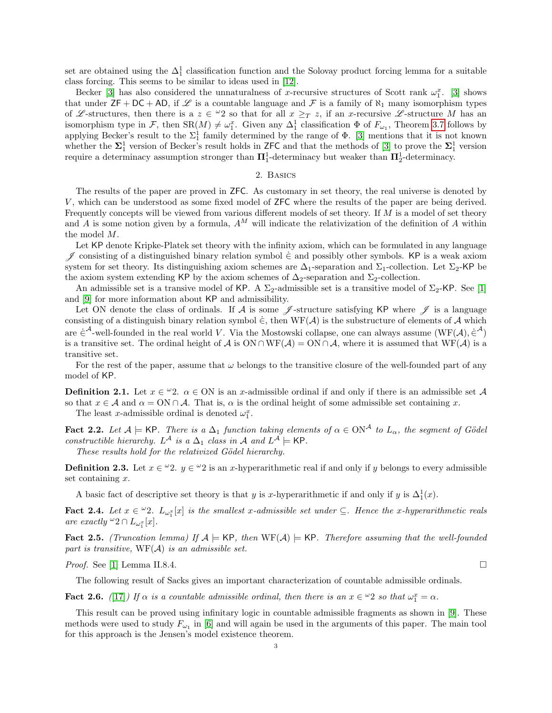set are obtained using the  $\Delta_1^1$  classification function and the Solovay product forcing lemma for a suitable class forcing. This seems to be similar to ideas used in [\[12\]](#page-7-7).

Becker [\[3\]](#page-7-6) has also considered the unnaturalness of x-recursive structures of Scott rank  $\omega_1^x$ . [3] shows that under  $ZF + DC + AD$ , if  $\mathscr L$  is a countable language and  $\mathcal F$  is a family of  $\aleph_1$  many isomorphism types of L-structures, then there is a  $z \in {}^{\omega}2$  so that for all  $x \geq_T z$ , if an x-recursive L-structure M has an isomorphism type in F, then  $SR(M) \neq \omega_1^x$ . Given any  $\Delta_1^1$  classification  $\Phi$  of  $F_{\omega_1}$ , Theorem [3.7](#page-5-0) follows by applying Becker's result to the  $\Sigma_1^1$  family determined by the range of  $\Phi$ . [\[3\]](#page-7-6) mentions that it is not known whether the  $\Sigma_1^1$  version of Becker's result holds in ZFC and that the methods of [\[3\]](#page-7-6) to prove the  $\Sigma_1^1$  version require a determinacy assumption stronger than  $\Pi_1^1$ -determinacy but weaker than  $\Pi_2^1$ -determinacy.

## 2. Basics

The results of the paper are proved in ZFC. As customary in set theory, the real universe is denoted by V , which can be understood as some fixed model of ZFC where the results of the paper are being derived. Frequently concepts will be viewed from various different models of set theory. If M is a model of set theory and A is some notion given by a formula,  $A^M$  will indicate the relativization of the definition of A within the model M.

Let KP denote Kripke-Platek set theory with the infinity axiom, which can be formulated in any language  $\mathscr I$  consisting of a distinguished binary relation symbol  $\dot{\in}$  and possibly other symbols. KP is a weak axiom system for set theory. Its distinguishing axiom schemes are  $\Delta_1$ -separation and  $\Sigma_1$ -collection. Let  $\Sigma_2$ -KP be the axiom system extending KP by the axiom schemes of  $\Delta_2$ -separation and  $\Sigma_2$ -collection.

An admissible set is a transive model of KP. A  $\Sigma_2$ -admissible set is a transitive model of  $\Sigma_2$ -KP. See [\[1\]](#page-7-8) and [\[9\]](#page-7-9) for more information about KP and admissibility.

Let ON denote the class of ordinals. If A is some  $\mathscr{J}$ -structure satisfying KP where  $\mathscr{J}$  is a language consisting of a distinguish binary relation symbol  $\in$ , then WF( $\mathcal{A}$ ) is the substructure of elements of  $\mathcal A$  which are  $\dot{\in}^{\mathcal{A}}$ -well-founded in the real world V. Via the Mostowski collapse, one can always assume  $(WF(\mathcal{A}), \dot{\in}^{\mathcal{A}})$ is a transitive set. The ordinal height of A is ON ∩ WF(A) = ON ∩ A, where it is assumed that WF(A) is a transitive set.

For the rest of the paper, assume that  $\omega$  belongs to the transitive closure of the well-founded part of any model of KP.

**Definition 2.1.** Let  $x \in \omega$  2.  $\alpha \in ON$  is an x-admissible ordinal if and only if there is an admissible set A so that  $x \in A$  and  $\alpha = \text{ON} \cap A$ . That is,  $\alpha$  is the ordinal height of some admissible set containing x.

The least x-admissible ordinal is denoted  $\omega_1^x$ .

**Fact 2.2.** Let  $A \models$  KP. There is a  $\Delta_1$  function taking elements of  $\alpha \in ON^{\mathcal{A}}$  to  $L_{\alpha}$ , the segment of Gödel constructible hierarchy.  $L^{\mathcal{A}}$  is a  $\Delta_1$  class in  $\mathcal{A}$  and  $L^{\mathcal{A}} \models$  KP.

These results hold for the relativized Gödel hierarchy.

**Definition 2.3.** Let  $x \in \omega$  2.  $y \in \omega$  is an x-hyperarithmetic real if and only if y belongs to every admissible set containing x.

A basic fact of descriptive set theory is that y is x-hyperarithmetic if and only if y is  $\Delta_1^1(x)$ .

**Fact 2.4.** Let  $x \in \omega_2$ .  $L_{\omega_1^x}[x]$  is the smallest x-admissible set under  $\subseteq$ . Hence the x-hyperarithmetic reals are exactly  $\omega_2 \cap L_{\omega_1^x}[x]$ .

<span id="page-2-1"></span>**Fact 2.5.** (Truncation lemma) If  $A \models$  KP, then WF(A)  $\models$  KP. Therefore assuming that the well-founded part is transitive,  $WF(A)$  is an admissible set.

*Proof.* See [\[1\]](#page-7-8) Lemma II.8.4.

The following result of Sacks gives an important characterization of countable admissible ordinals.

<span id="page-2-0"></span>**Fact 2.6.** ([\[17\]](#page-8-0)) If  $\alpha$  is a countable admissible ordinal, then there is an  $x \in \alpha$  2 so that  $\omega_1^x = \alpha$ .

This result can be proved using infinitary logic in countable admissible fragments as shown in [\[9\]](#page-7-9). These methods were used to study  $F_{\omega_1}$  in [\[6\]](#page-7-3) and will again be used in the arguments of this paper. The main tool for this approach is the Jensen's model existence theorem.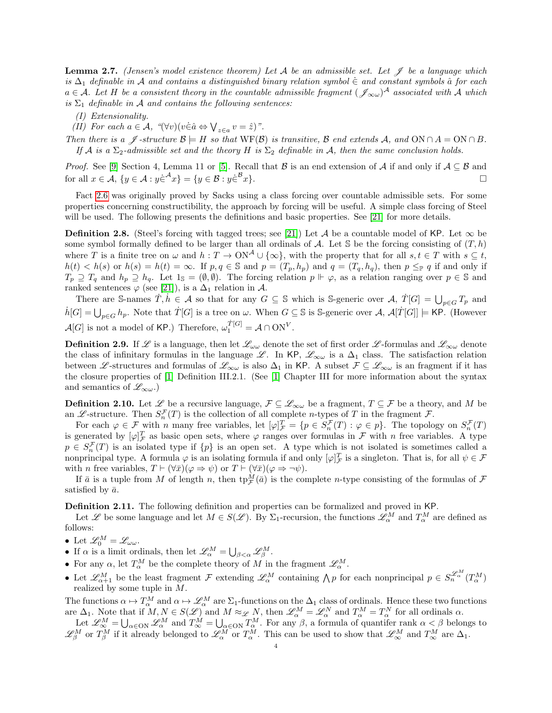<span id="page-3-2"></span>**Lemma 2.7.** (Jensen's model existence theorem) Let A be an admissible set. Let  $\mathcal{J}$  be a language which is  $\Delta_1$  definable in A and contains a distinguished binary relation symbol  $\in$  and constant symbols  $\hat{a}$  for each  $a \in \mathcal{A}$ . Let H be a consistent theory in the countable admissible fragment  $(\mathscr{J}_{\infty \omega})^{\mathcal{A}}$  associated with  $\mathcal A$  which is  $\Sigma_1$  definable in A and contains the following sentences:

(I) Extensionality.

(II) For each  $a \in \mathcal{A}$ , " $(\forall v)(v \in \hat{a} \Leftrightarrow \bigvee_{z \in a} v = \hat{z})$ ".

Then there is a  $\mathcal{J}$ -structure  $\mathcal{B} \models H$  so that  $WF(\mathcal{B})$  is transitive,  $\mathcal{B}$  end extends  $\mathcal{A}$ , and  $ON \cap A = ON \cap B$ . If A is a  $\Sigma_2$ -admissible set and the theory H is  $\Sigma_2$  definable in A, then the same conclusion holds.

*Proof.* See [\[9\]](#page-7-9) Section 4, Lemma 11 or [\[5\]](#page-7-10). Recall that B is an end extension of A if and only if  $A \subseteq B$  and for all  $x \in \mathcal{A}$ ,  $\{y \in \mathcal{A} : y \in \mathcal{A}x\} = \{y \in \mathcal{B} : y \in \mathcal{B}\}$  $x$ }.

Fact [2.6](#page-2-0) was originally proved by Sacks using a class forcing over countable admissible sets. For some properties concerning constructibility, the approach by forcing will be useful. A simple class forcing of Steel will be used. The following presents the definitions and basic properties. See [\[21\]](#page-8-8) for more details.

<span id="page-3-1"></span>**Definition 2.8.** (Steel's forcing with tagged trees; see [\[21\]](#page-8-8)) Let A be a countable model of KP. Let  $\infty$  be some symbol formally defined to be larger than all ordinals of A. Let  $\mathbb S$  be the forcing consisting of  $(T, h)$ where T is a finite tree on  $\omega$  and  $h: T \to ON^{\mathcal{A}} \cup {\infty}$ , with the property that for all  $s, t \in T$  with  $s \subseteq t$ ,  $h(t) < h(s)$  or  $h(s) = h(t) = \infty$ . If  $p, q \in \mathbb{S}$  and  $p = (T_p, h_p)$  and  $q = (T_q, h_q)$ , then  $p \leq_{\mathbb{P}} q$  if and only if  $T_p \supseteq T_q$  and  $h_p \supseteq h_q$ . Let  $1_s = (\emptyset, \emptyset)$ . The forcing relation  $p \Vdash \varphi$ , as a relation ranging over  $p \in \mathbb{S}$  and ranked sentences  $\varphi$  (see [\[21\]](#page-8-8)), is a  $\Delta_1$  relation in  $\mathcal{A}$ .

There are S-names  $\dot{T}, \dot{h} \in \mathcal{A}$  so that for any  $G \subseteq \mathbb{S}$  which is S-generic over  $\mathcal{A}, \dot{T}[G] = \bigcup_{p \in G} T_p$  and  $\hat{h}[G] = \bigcup_{p \in G} h_p$ . Note that  $\hat{T}[G]$  is a tree on  $\omega$ . When  $G \subseteq \mathbb{S}$  is S-generic over  $\mathcal{A}, \mathcal{A}[\hat{T}[G]] \models \mathsf{KP}.$  (However  $\mathcal{A}[G]$  is not a model of KP.) Therefore,  $\omega_1^{\dot{T}[G]} = \mathcal{A} \cap \text{ON}^V$ .

**Definition 2.9.** If  $\mathscr L$  is a language, then let  $\mathscr L_{\omega\omega}$  denote the set of first order  $\mathscr L$ -formulas and  $\mathscr L_{\infty\omega}$  denote the class of infinitary formulas in the language  $\mathscr{L}$ . In KP,  $\mathscr{L}_{\infty\omega}$  is a  $\Delta_1$  class. The satisfaction relation between L -structures and formulas of  $\mathscr{L}_{\infty\omega}$  is also  $\Delta_1$  in KP. A subset  $\mathcal{F} \subseteq \mathscr{L}_{\infty\omega}$  is an fragment if it has the closure properties of [\[1\]](#page-7-8) Definition III.2.1. (See [\[1\]](#page-7-8) Chapter III for more information about the syntax and semantics of  $\mathscr{L}_{\infty\omega}$ .)

**Definition 2.10.** Let  $\mathscr L$  be a recursive language,  $\mathcal F \subseteq \mathscr L_{\infty \omega}$  be a fragment,  $T \subseteq \mathcal F$  be a theory, and M be an  $\mathscr{L}$ -structure. Then  $S_n^{\mathcal{F}}(T)$  is the collection of all complete *n*-types of T in the fragment  $\mathcal{F}$ .

For each  $\varphi \in \mathcal{F}$  with n many free variables, let  $[\varphi]_{\mathcal{F}}^T = \{p \in S_n^{\mathcal{F}}(T) : \varphi \in p\}$ . The topology on  $S_n^{\mathcal{F}}(T)$ is generated by  $[\varphi]_{\mathcal{F}}^T$  as basic open sets, where  $\varphi$  ranges over formulas in  $\mathcal{F}$  with n free variables. A type  $p \in S_n^{\mathcal{F}}(T)$  is an isolated type if  $\{p\}$  is an open set. A type which is not isolated is sometimes called a nonprincipal type. A formula  $\varphi$  is an isolating formula if and only  $[\varphi]_{\mathcal{F}}^T$  is a singleton. That is, for all  $\psi \in \mathcal{F}$ with *n* free variables,  $T \vdash (\forall \bar{x})(\varphi \Rightarrow \psi)$  or  $T \vdash (\forall \bar{x})(\varphi \Rightarrow \neg \psi)$ .

If  $\bar{a}$  is a tuple from M of length n, then  $tp_{\mathcal{F}}^M(\bar{a})$  is the complete n-type consisting of the formulas of  $\mathcal F$ satisfied by  $\bar{a}$ .

<span id="page-3-0"></span>Definition 2.11. The following definition and properties can be formalized and proved in KP.

Let L be some language and let  $M \in S(\mathcal{L})$ . By  $\Sigma_1$ -recursion, the functions  $\mathcal{L}_{\alpha}^M$  and  $T_{\alpha}^M$  are defined as follows:

- Let  $\mathscr{L}_{0}^{M}=\mathscr{L}_{\omega\omega}$ .
- If  $\alpha$  is a limit ordinals, then let  $\mathscr{L}_{\alpha}^{M} = \bigcup_{\beta < \alpha} \mathscr{L}_{\beta}^{M}$ .
- For any  $\alpha$ , let  $T_{\alpha}^M$  be the complete theory of M in the fragment  $\mathscr{L}_{\alpha}^M$ .
- Let  $\mathscr{L}_{\alpha+1}^M$  be the least fragment  $\mathcal F$  extending  $\mathscr{L}_{\alpha}^M$  containing  $\bigwedge p$  for each nonprincipal  $p \in S_n^{\mathscr{L}_{\alpha}^M}(T_{\alpha}^M)$ realized by some tuple in M.

The functions  $\alpha \mapsto T_{\alpha}^M$  and  $\alpha \mapsto \mathscr{L}_{\alpha}^M$  are  $\Sigma_1$ -functions on the  $\Delta_1$  class of ordinals. Hence these two functions are  $\Delta_1$ . Note that if  $M, N \in S(\mathscr{L})$  and  $M \approx_{\mathscr{L}} N$ , then  $\mathscr{L}_{\alpha}^M = \mathscr{L}_{\alpha}^N$  and  $T_{\alpha}^M = T_{\alpha}^N$  for all ordinals  $\alpha$ .

Let  $\mathscr{L}_{\infty}^{M} = \bigcup_{\alpha \in \text{ON}} \mathscr{L}_{\alpha}^{M}$  and  $T_{\infty}^{M} = \bigcup_{\alpha \in \text{ON}} T_{\alpha}^{M}$ . For any  $\beta$ , a formula of quantifer rank  $\alpha < \beta$  belongs to  $\mathscr{L}_{\beta}^{M}$  or  $T_{\beta}^{M}$  if it already belonged to  $\mathscr{L}_{\alpha}^{M}$  or  $T_{\alpha}^{M}$ . This can be used to show that  $\mathscr{L}_{\infty}^{M}$  and  $T_{\infty}^{M}$  are  $\Delta_{1}$ .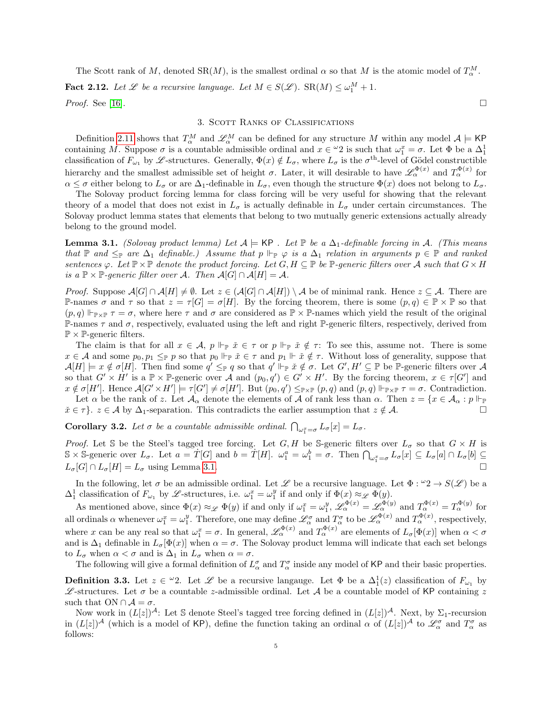The Scott rank of M, denoted  $SR(M)$ , is the smallest ordinal  $\alpha$  so that M is the atomic model of  $T_{\alpha}^M$ .

**Fact 2.12.** Let  $\mathscr L$  be a recursive language. Let  $M \in S(\mathscr L)$ .  $SR(M) \leq \omega_1^M + 1$ .

*Proof.* See [\[16\]](#page-8-9).

### 3. Scott Ranks of Classifications

Definition [2.11](#page-3-0) shows that  $T_\alpha^M$  and  $\mathscr{L}_\alpha^M$  can be defined for any structure M within any model  $\mathcal{A} \models$  KP containing M. Suppose  $\sigma$  is a countable admissible ordinal and  $x \in \omega_2$  is such that  $\omega_1^x = \sigma$ . Let  $\Phi$  be a  $\Delta_1^1$ classification of  $F_{\omega_1}$  by  $\mathscr{L}$ -structures. Generally,  $\Phi(x) \notin L_\sigma$ , where  $L_\sigma$  is the  $\sigma^{\text{th}}$ -level of Gödel constructible hierarchy and the smallest admissible set of height  $\sigma$ . Later, it will desirable to have  $\mathscr{L}_{\alpha}^{\Phi(x)}$  and  $T_{\alpha}^{\Phi(x)}$  for  $\alpha \leq \sigma$  either belong to  $L_{\sigma}$  or are  $\Delta_1$ -definable in  $L_{\sigma}$ , even though the structure  $\Phi(x)$  does not belong to  $L_{\sigma}$ .

The Solovay product forcing lemma for class forcing will be very useful for showing that the relevant theory of a model that does not exist in  $L_{\sigma}$  is actually definable in  $L_{\sigma}$  under certain circumstances. The Solovay product lemma states that elements that belong to two mutually generic extensions actually already belong to the ground model.

<span id="page-4-0"></span>**Lemma 3.1.** (Solovay product lemma) Let  $\mathcal{A} \models \mathsf{KP}$ . Let  $\mathbb{P}$  be a  $\Delta_1$ -definable forcing in A. (This means that  $\mathbb{P}$  and  $\leq_{\mathbb{P}}$  are  $\Delta_1$  definable.) Assume that  $p \Vdash_{\mathbb{P}} \varphi$  is a  $\Delta_1$  relation in arguments  $p \in \mathbb{P}$  and ranked sentences  $\varphi$ . Let  $\mathbb{P} \times \mathbb{P}$  denote the product forcing. Let  $G, H \subseteq \mathbb{P}$  be  $\mathbb{P}\text{-}generic$  filters over A such that  $G \times H$ is a  $\mathbb{P} \times \mathbb{P}$ -generic filter over A. Then  $\mathcal{A}[G] \cap \mathcal{A}[H] = \mathcal{A}$ .

*Proof.* Suppose  $A[G] \cap A[H] \neq \emptyset$ . Let  $z \in (A[G] \cap A[H]) \setminus A$  be of minimal rank. Hence  $z \subseteq A$ . There are P-names  $\sigma$  and  $\tau$  so that  $z = \tau[G] = \sigma[H]$ . By the forcing theorem, there is some  $(p,q) \in \mathbb{P} \times \mathbb{P}$  so that  $(p,q) \Vdash_{\mathbb{P} \times \mathbb{P}} \tau = \sigma$ , where here  $\tau$  and  $\sigma$  are considered as  $\mathbb{P} \times \mathbb{P}$ -names which yield the result of the original P-names  $\tau$  and  $\sigma$ , respectively, evaluated using the left and right P-generic filters, respectively, derived from  $\mathbb{P} \times \mathbb{P}$ -generic filters.

The claim is that for all  $x \in \mathcal{A}$ ,  $p \Vdash_{\mathbb{P}} \check{x} \in \tau$  or  $p \Vdash_{\mathbb{P}} \check{x} \notin \tau$ : To see this, assume not. There is some  $x \in A$  and some  $p_0, p_1 \leq_{\mathbb{P}} p$  so that  $p_0 \Vdash_{\mathbb{P}} \check{x} \in \tau$  and  $p_1 \Vdash \check{x} \notin \tau$ . Without loss of generality, suppose that  $\mathcal{A}[H] \models x \notin \sigma[H]$ . Then find some  $q' \leq_{\mathbb{P}} q$  so that  $q' \Vdash_{\mathbb{P}} \check{x} \notin \sigma$ . Let  $G', H' \subseteq \mathbb{P}$  be  $\mathbb{P}$ -generic filters over  $\mathcal{A}$ so that  $G' \times H'$  is a  $\mathbb{P} \times \mathbb{P}$ -generic over A and  $(p_0, q') \in G' \times H'$ . By the forcing theorem,  $x \in \tau[G']$  and  $x \notin \sigma[H']$ . Hence  $\mathcal{A}[G' \times H'] \models \tau[G'] \neq \sigma[H']$ . But  $(p_0, q') \leq_{\mathbb{P} \times \mathbb{P}} (p, q)$  and  $(p, q) \Vdash_{\mathbb{P} \times \mathbb{P}} \tau = \sigma$ . Contradiction. Let  $\alpha$  be the rank of z. Let  $\mathcal{A}_{\alpha}$  denote the elements of A of rank less than  $\alpha$ . Then  $z = \{x \in \mathcal{A}_{\alpha} : p \Vdash_{\mathbb{P}} \}$  $\check{x} \in \tau$ .  $z \in \mathcal{A}$  by  $\Delta_1$ -separation. This contradicts the earlier assumption that  $z \notin \mathcal{A}$ .

**Corollary 3.2.** Let  $\sigma$  be a countable admissible ordinal.  $\bigcap_{\omega_1^x = \sigma} L_{\sigma}[x] = L_{\sigma}$ .

*Proof.* Let S be the Steel's tagged tree forcing. Let G, H be S-generic filters over  $L_{\sigma}$  so that  $G \times H$  is  $\mathbb{S} \times \mathbb{S}$ -generic over  $L_{\sigma}$ . Let  $a = T[G]$  and  $b = T[H]$ .  $\omega_1^a = \omega_1^b = \sigma$ . Then  $\bigcap_{\omega_1^x = \sigma} L_{\sigma}[x] \subseteq L_{\sigma}[a] \cap L_{\sigma}[b] \subseteq$  $L_{\sigma}[G] \cap L_{\sigma}[H] = L_{\sigma}$  using Lemma [3.1.](#page-4-0)

In the following, let  $\sigma$  be an admissible ordinal. Let  $\mathscr L$  be a recursive language. Let  $\Phi : \mathscr L \to S(\mathscr L)$  be a  $\Delta_1^1$  classification of  $F_{\omega_1}$  by  $\mathscr{L}$ -structures, i.e.  $\omega_1^x = \omega_1^y$  if and only if  $\Phi(x) \approx_{\mathscr{L}} \Phi(y)$ .

As mentioned above, since  $\Phi(x) \approx_{\mathscr{L}} \Phi(y)$  if and only if  $\omega_1^x = \omega_1^y$ ,  $\mathscr{L}_\alpha^{\Phi(x)} = \mathscr{L}_\alpha^{\Phi(y)}$  and  $T_\alpha^{\Phi(x)} = T_\alpha^{\Phi(y)}$  for all ordinals  $\alpha$  whenever  $\omega_1^x = \omega_1^y$ . Therefore, one may define  $\mathscr{L}_{\alpha}^{\sigma}$  and  $T_{\alpha}^{\sigma}$  to be  $\mathscr{L}_{\alpha}^{\Phi(x)}$  and  $T_{\alpha}^{\Phi(x)}$ , respectively, where x can be any real so that  $\omega_1^x = \sigma$ . In general,  $\mathscr{L}_{\alpha}^{\Phi(x)}$  and  $T_{\alpha}^{\Phi(x)}$  are elements of  $L_{\sigma}[\Phi(x)]$  when  $\alpha < \sigma$ and is  $\Delta_1$  definable in  $L_{\sigma}[\Phi(x)]$  when  $\alpha = \sigma$ . The Solovay product lemma will indicate that each set belongs to  $L_{\sigma}$  when  $\alpha < \sigma$  and is  $\Delta_1$  in  $L_{\sigma}$  when  $\alpha = \sigma$ .

The following will give a formal definition of  $L^{\sigma}_{\alpha}$  and  $T^{\sigma}_{\alpha}$  inside any model of KP and their basic properties.

<span id="page-4-1"></span>**Definition 3.3.** Let  $z \in \mathcal{L}$  be a recursive language. Let  $\Phi$  be a  $\Delta_1^1(z)$  classification of  $F_{\omega_1}$  by  $\mathscr{L}$ -structures. Let  $\sigma$  be a countable z-admissible ordinal. Let A be a countable model of KP containing z such that  $ON \cap A = \sigma$ .

Now work in  $(L[z])^{\mathcal{A}}$ : Let S denote Steel's tagged tree forcing defined in  $(L[z])^{\mathcal{A}}$ . Next, by  $\Sigma_1$ -recursion in  $(L[z])^{\mathcal{A}}$  (which is a model of KP), define the function taking an ordinal  $\alpha$  of  $(L[z])^{\mathcal{A}}$  to  $\mathscr{L}_{\alpha}^{\sigma}$  and  $T_{\alpha}^{\sigma}$  as follows: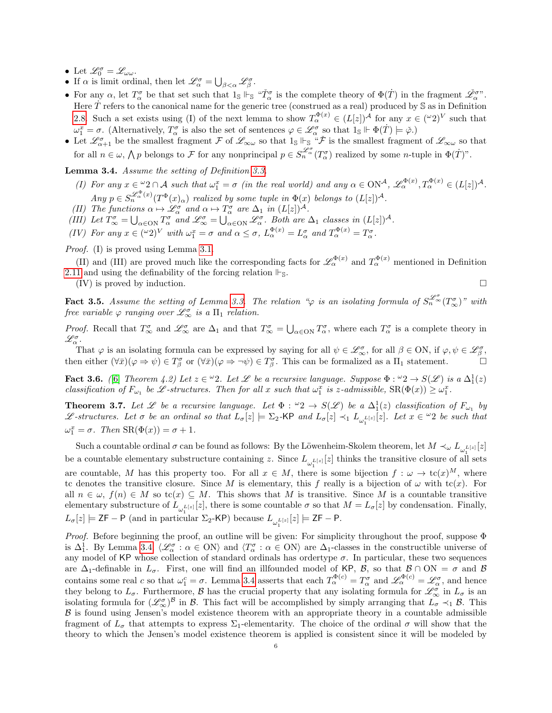- Let  $\mathscr{L}_{0}^{\sigma} = \mathscr{L}_{\omega \omega}$ .
- If  $\alpha$  is limit ordinal, then let  $\mathscr{L}_{\alpha}^{\sigma} = \bigcup_{\beta < \alpha} \mathscr{L}_{\beta}^{\sigma}$ .
- For any  $\alpha$ , let  $T^{\sigma}_{\alpha}$  be that set such that  $1_{\mathbb{S}} \Vdash_{\mathbb{S}} \Udash_{\alpha} \check{T}^{\sigma}_{\alpha}$  is the complete theory of  $\Phi(\dot{T})$  in the fragment  $\check{\mathscr{L}}_{\alpha}^{\sigma}$ . Here  $\dot{T}$  refers to the canonical name for the generic tree (construed as a real) produced by S as in Definition [2.8.](#page-3-1) Such a set exists using (I) of the next lemma to show  $T_\alpha^{\Phi(x)} \in (L[z])^{\mathcal{A}}$  for any  $x \in ({}^{\omega}2)^V$  such that  $\omega_1^x = \sigma$ . (Alternatively,  $T_\alpha^{\sigma}$  is also the set of sentences  $\varphi \in \mathscr{L}_\alpha^{\sigma}$  so that  $1_{\mathbb{S}} \Vdash \Phi(\dot{T}) \models \check{\varphi}$ .)
- Let  $\mathscr{L}_{\alpha+1}^{\sigma}$  be the smallest fragment  $\mathcal F$  of  $\mathscr{L}_{\infty\omega}$  so that  $1_{\mathbb{S}} \Vdash_{\mathbb{S}} \mathscr{L} \mathscr F$  is the smallest fragment of  $\mathscr{L}_{\infty\omega}$  so that for all  $n \in \omega$ ,  $\bigwedge p$  belongs to F for any nonprincipal  $p \in S_n^{\mathscr{L}^{\sigma}}(T^{\sigma}_{\alpha})$  realized by some n-tuple in  $\Phi(\dot{T})$ ".

<span id="page-5-1"></span>Lemma 3.4. Assume the setting of Definition [3.3.](#page-4-1)

- (I) For any  $x \in {}^{\omega}2 \cap A$  such that  $\omega_1^x = \sigma$  (in the real world) and any  $\alpha \in \text{ON}^{\mathcal{A}}, \mathscr{L}_\alpha^{\Phi(x)}, T_\alpha^{\Phi(x)} \in (L[z])^{\mathcal{A}}$ . Any  $p \in S_n^{\mathcal{L}^\Phi(\alpha)}(T^\Phi(x)_\alpha)$  realized by some tuple in  $\Phi(x)$  belongs to  $(L[z])^{\mathcal{A}}$ .
- (II) The functions  $\alpha \mapsto \mathscr{L}_{\alpha}^{\sigma}$  and  $\alpha \mapsto T_{\alpha}^{\sigma}$  are  $\Delta_1$  in  $(L[z])^{\mathcal{A}}$ .
- (III) Let  $T_{\infty}^{\sigma} = \bigcup_{\alpha \in \text{ON}} T_{\alpha}^{\sigma}$  and  $\mathscr{L}_{\infty}^{\sigma} = \bigcup_{\alpha \in \text{ON}} \mathscr{L}_{\alpha}^{\sigma}$ . Both are  $\Delta_1$  classes in  $(L[z])^{\mathcal{A}}$ .
- (IV) For any  $x \in ({}^{\omega}2)^V$  with  $\omega_1^x = \sigma$  and  $\alpha \leq \sigma$ ,  $L_{\alpha}^{\Phi(x)} = L_{\alpha}^{\sigma}$  and  $T_{\alpha}^{\Phi(x)} = T_{\alpha}^{\sigma}$ .

Proof. (I) is proved using Lemma [3.1.](#page-4-0)

(II) and (III) are proved much like the corresponding facts for  $\mathscr{L}_{\alpha}^{\Phi(x)}$  and  $T_{\alpha}^{\Phi(x)}$  mentioned in Definition [2.11](#page-3-0) and using the definability of the forcing relation  $\mathbb{F}_{S}$ .

(IV) is proved by induction.

$$
\Box
$$

<span id="page-5-3"></span>**Fact 3.5.** Assume the setting of Lemma [3.3.](#page-4-1) The relation " $\varphi$  is an isolating formula of  $S_n^{\mathscr{L}^\sigma}(\mathbb{T}^\sigma_\infty)$ " with free variable  $\varphi$  ranging over  $\mathscr{L}_{\infty}^{\sigma}$  is a  $\Pi_1$  relation.

*Proof.* Recall that  $T_{\infty}^{\sigma}$  and  $\mathscr{L}_{\infty}^{\sigma}$  are  $\Delta_1$  and that  $T_{\infty}^{\sigma} = \bigcup_{\alpha \in ON} T_{\alpha}^{\sigma}$ , where each  $T_{\alpha}^{\sigma}$  is a complete theory in  $\mathscr{L}^\sigma_\alpha$  .

That  $\varphi$  is an isolating formula can be expressed by saying for all  $\psi \in \mathscr{L}_{\infty}^{\sigma}$ , for all  $\beta \in ON$ , if  $\varphi, \psi \in \mathscr{L}_{\beta}^{\sigma}$ , then either  $(\forall \bar{x})(\varphi \Rightarrow \psi) \in T^{\sigma}_{\beta}$  or  $(\forall \bar{x})(\varphi \Rightarrow \neg \psi) \in T^{\sigma}_{\beta}$ . This can be formalized as a  $\Pi_1$  statement.

<span id="page-5-2"></span>**Fact 3.6.** ([\[6\]](#page-7-3) Theorem 4.2) Let  $z \in \omega$ ?. Let  $\mathscr L$  be a recursive language. Suppose  $\Phi : \omega_2 \to S(\mathscr L)$  is a  $\Delta_1^1(z)$ classification of  $F_{\omega_1}$  be  $\mathscr{L}$ -structures. Then for all x such that  $\omega_1^x$  is z-admissible,  $\text{SR}(\Phi(x)) \geq \omega_1^x$ .

<span id="page-5-0"></span>**Theorem 3.7.** Let L be a recursive language. Let  $\Phi: \omega_2 \to S(\mathcal{L})$  be a  $\Delta_1^1(z)$  classification of  $F_{\omega_1}$  by L-structures. Let  $\sigma$  be an ordinal so that  $L_{\sigma}[z] \models \Sigma_2$ -KP and  $L_{\sigma}[z] \prec_1 L_{\omega_1^{L[z]}}[z]$ . Let  $x \in {}^{\omega}2$  be such that  $\omega_1^x = \sigma$ . Then  $\text{SR}(\Phi(x)) = \sigma + 1$ .

Such a countable ordinal  $\sigma$  can be found as follows: By the Löwenheim-Skolem theorem, let  $M\prec_\omega L_{\omega_1^{L[z]}}[z]$ be a countable elementary substructure containing z. Since  $L_{\omega_1^{L[z]}}[z]$  thinks the transitive closure of all sets are countable, M has this property too. For all  $x \in M$ , there is some bijection  $f: \omega \to \text{tc}(x)^M$ , where tc denotes the transitive closure. Since M is elementary, this f really is a bijection of  $\omega$  with tc(x). For all  $n \in \omega$ ,  $f(n) \in M$  so  $tc(x) \subseteq M$ . This shows that M is transitive. Since M is a countable transitive elementary substructure of  $L_{\omega_1^{L[z]}}[z]$ , there is some countable  $\sigma$  so that  $M = L_{\sigma}[z]$  by condensation. Finally,  $L_{\sigma}[z] \models \mathsf{ZF}-\mathsf{P}$  (and in particular  $\Sigma_2$ -KP) because  $L_{\omega_1^{L[z]}}[z] \models \mathsf{ZF}-\mathsf{P}$ .

*Proof.* Before beginning the proof, an outline will be given: For simplicity throughout the proof, suppose  $\Phi$ is  $\Delta_1^1$ . By Lemma [3.4,](#page-5-1)  $\langle \mathcal{L}_{\alpha}^{\sigma} : \alpha \in \mathcal{O}N \rangle$  and  $\langle T_{\alpha}^{\sigma} : \alpha \in \mathcal{O}N \rangle$  are  $\Delta_1$ -classes in the constructible universe of any model of KP whose collection of standard ordinals has ordertype  $\sigma$ . In particular, these two sequences are  $\Delta_1$ -definable in  $L_{\sigma}$ . First, one will find an illfounded model of KP, B, so that  $\mathcal{B} \cap \mathrm{ON} = \sigma$  and B contains some real c so that  $\omega_1^c = \sigma$ . Lemma [3.4](#page-5-1) asserts that each  $T_\alpha^{\Phi(c)} = T_\alpha^{\sigma}$  and  $\mathscr{L}_\alpha^{\Phi(c)} = \mathscr{L}_\alpha^{\sigma}$ , and hence they belong to  $L_{\sigma}$ . Furthermore,  $\beta$  has the crucial property that any isolating formula for  $\mathscr{L}_{\infty}^{\sigma}$  in  $L_{\sigma}$  is an isolating formula for  $(\mathscr{L}_{\infty}^{\sigma})^{\mathcal{B}}$  in  $\mathcal{B}$ . This fact will be accomplished by simply arranging that  $L_{\sigma} \prec_1 \mathcal{B}$ . This  $\beta$  is found using Jensen's model existence theorem with an appropriate theory in a countable admissible fragment of  $L_{\sigma}$  that attempts to express  $\Sigma_1$ -elementarity. The choice of the ordinal  $\sigma$  will show that the theory to which the Jensen's model existence theorem is applied is consistent since it will be modeled by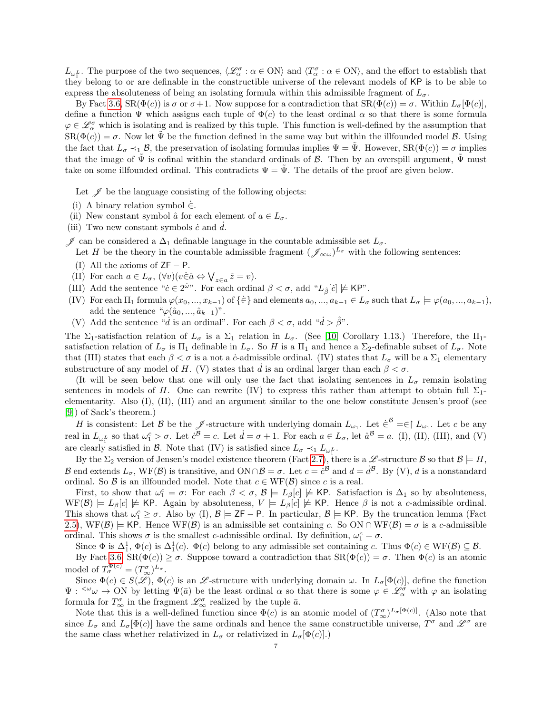$L_{\omega_1^L}$ . The purpose of the two sequences,  $\langle \mathcal{L}_{\alpha}^{\sigma} : \alpha \in \mathcal{O} \mathcal{N} \rangle$  and  $\langle T_{\alpha}^{\sigma} : \alpha \in \mathcal{O} \mathcal{N} \rangle$ , and the effort to establish that they belong to or are definable in the constructible universe of the relevant models of KP is to be able to express the absoluteness of being an isolating formula within this admissible fragment of  $L_{\sigma}$ .

By Fact [3.6,](#page-5-2)  $\text{SR}(\Phi(c))$  is  $\sigma$  or  $\sigma+1$ . Now suppose for a contradiction that  $\text{SR}(\Phi(c)) = \sigma$ . Within  $L_{\sigma}[\Phi(c)]$ , define a function  $\Psi$  which assigns each tuple of  $\Phi(c)$  to the least ordinal  $\alpha$  so that there is some formula  $\varphi \in \mathscr{L}_{\alpha}^{\sigma}$  which is isolating and is realized by this tuple. This function is well-defined by the assumption that  $\text{SR}(\Phi(c)) = \sigma$ . Now let  $\tilde{\Psi}$  be the function defined in the same way but within the illfounded model  $\mathcal{B}$ . Using the fact that  $L_{\sigma} \prec_1 \mathcal{B}$ , the preservation of isolating formulas implies  $\Psi = \tilde{\Psi}$ . However,  $SR(\Phi(c)) = \sigma$  implies that the image of  $\tilde{\Psi}$  is cofinal within the standard ordinals of  $\mathcal{B}$ . Then by an overspill argument,  $\tilde{\Psi}$  must take on some illfounded ordinal. This contradicts  $\Psi = \tilde{\Psi}$ . The details of the proof are given below.

Let  $\mathscr I$  be the language consisting of the following objects:

- (i) A binary relation symbol  $\dot{\in}$ .
- (ii) New constant symbol  $\hat{a}$  for each element of  $a \in L_{\sigma}$ .
- (iii) Two new constant symbols  $\dot{c}$  and  $\dot{d}$ .
- $\mathscr I$  can be considered a  $\Delta_1$  definable language in the countable admissible set  $L_σ$ .
- Let H be the theory in the countable admissible fragment  $(\mathscr{J}_{\infty\omega})^{L_{\sigma}}$  with the following sentences:
- (I) All the axioms of  $ZF P$ .
- (II) For each  $a \in L_{\sigma}$ ,  $(\forall v)(v \in \hat{a} \Leftrightarrow \bigvee_{z \in a} \hat{z} = v)$ .
- (III) Add the sentence " $\dot{c} \in 2^{\hat{\omega}}$ ". For each ordinal  $\beta < \sigma$ , add " $L_{\hat{\beta}}[\dot{c}] \not\models K\mathsf{P}$ ".
- (IV) For each  $\Pi_1$  formula  $\varphi(x_0, ..., x_{k-1})$  of  $\{\in\}$  and elements  $a_0, ..., a_{k-1} \in L_{\sigma}$  such that  $L_{\sigma} \models \varphi(a_0, ..., a_{k-1}),$ add the sentence " $\varphi(\hat{a}_0, ..., \hat{a}_{k-1})$ ".
- (V) Add the sentence "d is an ordinal". For each  $\beta < \sigma$ , add " $d > \hat{\beta}$ ".

The  $\Sigma_1$ -satisfaction relation of  $L_{\sigma}$  is a  $\Sigma_1$  relation in  $L_{\sigma}$ . (See [\[10\]](#page-7-11) Corollary 1.13.) Therefore, the  $\Pi_1$ satisfaction relation of  $L_{\sigma}$  is  $\Pi_1$  definable in  $L_{\sigma}$ . So H is a  $\Pi_1$  and hence a  $\Sigma_2$ -definable subset of  $L_{\sigma}$ . Note that (III) states that each  $\beta < \sigma$  is a not a *c*-admissible ordinal. (IV) states that  $L_{\sigma}$  will be a  $\Sigma_1$  elementary substructure of any model of H. (V) states that  $\tilde{d}$  is an ordinal larger than each  $\beta < \sigma$ .

(It will be seen below that one will only use the fact that isolating sentences in  $L_{\sigma}$  remain isolating sentences in models of H. One can rewrite (IV) to express this rather than attempt to obtain full  $\Sigma_1$ elementarity. Also (I), (II), (III) and an argument similar to the one below constitute Jensen's proof (see [\[9\]](#page-7-9)) of Sack's theorem.)

H is consistent: Let B be the  $\mathscr J$ -structure with underlying domain  $L_{\omega_1}$ . Let  $\dot{\in}^{\mathcal B} = \in \int L_{\omega_1}$ . Let c be any real in  $L_{\omega_1^L}$  so that  $\omega_1^c > \sigma$ . Let  $\dot{c}^B = c$ . Let  $\dot{d} = \sigma + 1$ . For each  $a \in L_{\sigma}$ , let  $\hat{a}^B = a$ . (I), (II), (III), and (V) are clearly satisfied in  $\mathcal{B}$ . Note that (IV) is satisfied since  $L_{\sigma} \prec_1 L_{\omega_1^L}$ .

By the  $\Sigma_2$  version of Jensen's model existence theorem (Fact [2.7\)](#page-3-2), there is a L-structure B so that  $\mathcal{B} \models H$ , B end extends  $L_{\sigma}$ , WF(B) is transitive, and ON∩B =  $\sigma$ . Let  $c = c^{B}$  and  $d = d^{B}$ . By (V), d is a nonstandard ordinal. So B is an illfounded model. Note that  $c \in WF(B)$  since c is a real.

First, to show that  $\omega_1^c = \sigma$ : For each  $\beta < \sigma$ ,  $\beta \models L_{\beta}[c] \not\models \textsf{KP}$ . Satisfaction is  $\Delta_1$  so by absoluteness,  $WF(B) \models L_{\beta}[c] \not\models KP$ . Again by absoluteness,  $V \models L_{\beta}[c] \not\models KP$ . Hence  $\beta$  is not a c-admissible ordinal. This shows that  $\omega_1^c \geq \sigma$ . Also by (I),  $\mathcal{B} \models \mathsf{ZF}-\mathsf{P}$ . In particular,  $\mathcal{B} \models \mathsf{KP}$ . By the truncation lemma (Fact [2.5\)](#page-2-1), WF(B)  $\models$  KP. Hence WF(B) is an admissible set containing c. So ON ∩ WF(B) =  $\sigma$  is a c-admissible ordinal. This shows  $\sigma$  is the smallest c-admissible ordinal. By definition,  $\omega_1^c = \sigma$ .

Since  $\Phi$  is  $\Delta_1^1$ ,  $\Phi(c)$  is  $\Delta_1^1(c)$ .  $\Phi(c)$  belong to any admissible set containing c. Thus  $\Phi(c) \in \text{WF}(\mathcal{B}) \subseteq \mathcal{B}$ . By Fact [3.6,](#page-5-2)  $\text{SR}(\Phi(c)) \geq \sigma$ . Suppose toward a contradiction that  $\text{SR}(\Phi(c)) = \sigma$ . Then  $\Phi(c)$  is an atomic model of  $T_{\sigma}^{\Phi(c)} = (T_{\infty}^{\sigma})^{L_{\sigma}}$ .

Since  $\Phi(c) \in S(\mathscr{L})$ ,  $\Phi(c)$  is an  $\mathscr{L}$ -structure with underlying domain  $\omega$ . In  $L_{\sigma}[\Phi(c)]$ , define the function  $\Psi: \langle \omega \rangle \to ON$  by letting  $\Psi(\bar{a})$  be the least ordinal  $\alpha$  so that there is some  $\varphi \in \mathscr{L}_{\alpha}^{\sigma}$  with  $\varphi$  an isolating formula for  $T^{\sigma}_{\infty}$  in the fragment  $\mathscr{L}^{\sigma}_{\infty}$  realized by the tuple  $\bar{a}$ .

Note that this is a well-defined function since  $\Phi(c)$  is an atomic model of  $(T_{\infty}^{\sigma})^{L_{\sigma}[\Phi(c)]}$ . (Also note that since  $L_{\sigma}$  and  $L_{\sigma}[\Phi(c)]$  have the same ordinals and hence the same constructible universe,  $T^{\sigma}$  and  $\mathscr{L}^{\sigma}$  are the same class whether relativized in  $L_{\sigma}$  or relativized in  $L_{\sigma}[\Phi(c)].$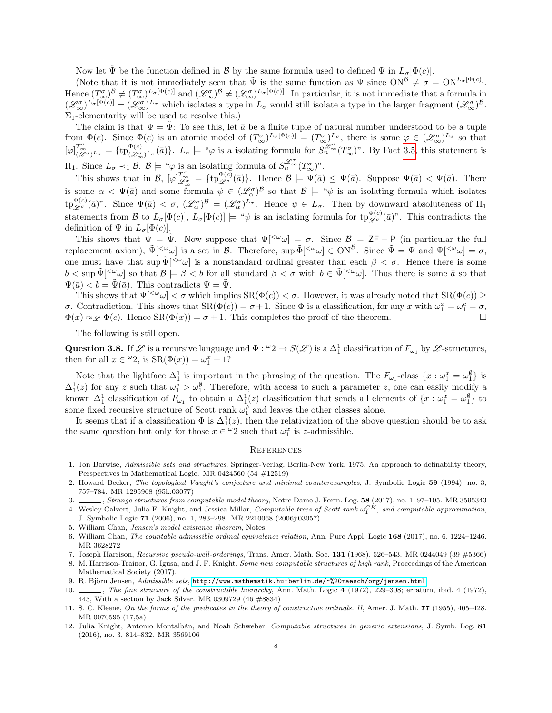Now let  $\tilde{\Psi}$  be the function defined in  $\mathcal{B}$  by the same formula used to defined  $\Psi$  in  $L_{\sigma}[\Phi(c)]$ .

(Note that it is not immediately seen that  $\tilde{\Psi}$  is the same function as  $\Psi$  since  $\text{ON}^{\mathcal{B}} \neq \sigma = \text{ON}^{L_{\sigma}[\Phi(c)]}$ . Hence  $(T^{\sigma}_{\infty})^{\mathcal{B}} \neq (T^{\sigma}_{\infty})^{L_{\sigma}[\Phi(c)]}$  and  $(\mathscr{L}_{\infty}^{\sigma})^{\mathcal{B}} \neq (\mathscr{L}_{\infty}^{\sigma})^{L_{\sigma}[\Phi(c)]}$ . In particular, it is not immediate that a formula in  $(\mathscr{L}_{\infty}^{\sigma})^{L_{\sigma}[\Phi(c)]} = (\mathscr{L}_{\infty}^{\sigma})^{L_{\sigma}}$  which isolates a type in  $L_{\sigma}$  would still isolate a type in the larger fragment  $(\mathscr{L}_{\infty}^{\sigma})^{\mathcal{B}}$ .  $\Sigma_1$ -elementarity will be used to resolve this.)

The claim is that  $\Psi = \tilde{\Psi}$ : To see this, let  $\bar{a}$  be a finite tuple of natural number understood to be a tuple from  $\Phi(c)$ . Since  $\Phi(c)$  is an atomic model of  $(T_{\infty}^{\sigma})^{L_{\sigma}[\Phi(c)]} = (T_{\infty}^{\sigma})^{L_{\sigma}}$ , there is some  $\varphi \in (\mathscr{L}_{\infty}^{\sigma})^{L_{\sigma}}$  so that  $[\varphi]_{(\mathscr{L}_{\infty}^{T_{\infty}^{G}})^{L_{\sigma}}}^{T_{\infty}^{G}} = {\{tp_{(\mathscr{L}_{\infty}^{G})^{L_{\sigma}}}^{(c)}(\bar{a})\}}.$   $L_{\sigma} \models {\text{``}\varphi$ is a isolating formula for } S_{n}^{\mathscr{L}_{\infty}^{G}}(T_{\infty}^{\sigma})".}$  By Fact [3.5,](#page-5-3) this statement is  $\Pi_1$ . Since  $L_{\sigma} \prec_1 \mathcal{B}$ .  $\mathcal{B} \models$  " $\varphi$  is an isolating formula of  $S_n^{\mathscr{L}_{\infty}^{\sigma}}(T_{\infty}^{\sigma})$ ".

This shows that in  $\mathcal{B}, [\varphi]_{\varphi_{\sigma}}^{T_{\infty}^{\sigma}}$  $\mathcal{L}^{\sigma}_{\mathscr{L}_{\infty}} = {\{\mathrm{tp}}^{\Phi(c)}_{\mathscr{L}^{\sigma}}(\bar{a})\}.$  Hence  $\mathcal{B} \models \tilde{\Psi}(\bar{a}) \leq \Psi(\bar{a})$ . Suppose  $\tilde{\Psi}(\bar{a}) < \Psi(\bar{a})$ . There is some  $\alpha < \Psi(\bar{a})$  and some formula  $\psi \in (\mathscr{L}_{\alpha}^{\sigma})^{\mathcal{B}}$  so that  $\mathcal{B} \models \Psi^{\phi}$  is an isolating formula which isolates  $\textrm{tp}_{\mathscr{L}^{\sigma}}^{\Phi(c)}(\bar{a})^n$ . Since  $\Psi(\bar{a}) < \sigma$ ,  $(\mathscr{L}_{\alpha}^{\sigma})^{\mathcal{B}} = (\mathscr{L}_{\alpha}^{\sigma})^{L_{\sigma}}$ . Hence  $\psi \in L_{\sigma}$ . Then by downward absoluteness of  $\Pi_1$ statements from B to  $L_{\sigma}[\Phi(c)]$ ,  $L_{\sigma}[\Phi(c)] \models \forall \psi$  is an isolating formula for  $tp_{\mathscr{L}^{\sigma}}^{\Phi(c)}(\bar{a})$ ". This contradicts the definition of  $\Psi$  in  $L_{\sigma}[\Phi(c)]$ .

This shows that  $\Psi = \tilde{\Psi}$ . Now suppose that  $\Psi^{\langle \omega \omega \rangle} = \sigma$ . Since  $\mathcal{B} \models ZF - P$  (in particular the full replacement axiom),  $\tilde{\Psi}^{[\langle \omega} \omega]$  is a set in B. Therefore,  $\sup \tilde{\Phi}^{[\langle \omega} \omega] \in \text{ON}^{\mathcal{B}}$ . Since  $\tilde{\Psi} = \Psi$  and  $\Psi^{[\langle \omega} \omega] = \sigma$ , one must have that sup  $\tilde{\Psi}^{\leq \omega}$  is a nonstandard ordinal greater than each  $\beta < \sigma$ . Hence there is some  $b < \sup \tilde{\Psi}[^{\leq \omega} \omega]$  so that  $\mathcal{B} \models \beta < b$  for all standard  $\beta < \sigma$  with  $b \in \tilde{\Psi}[^{\leq \omega} \omega]$ . Thus there is some  $\bar{a}$  so that  $\Psi(\bar{a}) < b = \tilde{\Psi}(\bar{a})$ . This contradicts  $\Psi = \tilde{\Psi}$ .

This shows that  $\Psi^{\langle \omega \rangle} \langle \sigma \rangle$  which implies  $\text{SR}(\Phi(c)) \langle \sigma \rangle$ . However, it was already noted that  $\text{SR}(\Phi(c)) \geq$ σ. Contradiction. This shows that  $SR(\Phi(c)) = \sigma + 1$ . Since  $\Phi$  is a classification, for any x with  $ω_1^x = ω_1^c = σ$ ,  $\Phi(x) \approx_{\mathscr{L}} \Phi(c)$ . Hence  $\text{SR}(\Phi(x)) = \sigma + 1$ . This completes the proof of the theorem.

The following is still open.

Question 3.8. If  $\mathscr L$  is a recursive language and  $\Phi: {}^{\omega}2 \to S(\mathscr L)$  is a  $\Delta_1^1$  classification of  $F_{\omega_1}$  by  $\mathscr L$ -structures, then for all  $x \in \omega^2$ , is  $SR(\Phi(x)) = \omega_1^x + 1$ ?

Note that the lightface  $\Delta_1^1$  is important in the phrasing of the question. The  $F_{\omega_1}$ -class  $\{x:\omega_1^x=\omega_1^{\emptyset}\}$  is  $\Delta_1^1(z)$  for any z such that  $\omega_1^z > \omega_1^{\emptyset}$ . Therefore, with access to such a parameter z, one can easily modify a known  $\Delta_1^1$  classification of  $F_{\omega_1}$  to obtain a  $\Delta_1^1(z)$  classification that sends all elements of  $\{x:\omega_1^x=\omega_1^{\emptyset}\}$  to some fixed recursive structure of Scott rank  $\omega_1^{\emptyset}$  and leaves the other classes alone.

It seems that if a classification  $\Phi$  is  $\Delta_1^1(z)$ , then the relativization of the above question should be to ask the same question but only for those  $x \in \mathcal{L}2$  such that  $\omega_1^x$  is z-admissible.

### **REFERENCES**

- <span id="page-7-8"></span>1. Jon Barwise, Admissible sets and structures, Springer-Verlag, Berlin-New York, 1975, An approach to definability theory, Perspectives in Mathematical Logic. MR 0424560 (54 #12519)
- <span id="page-7-0"></span>2. Howard Becker, The topological Vaught's conjecture and minimal counterexamples, J. Symbolic Logic 59 (1994), no. 3, 757–784. MR 1295968 (95k:03077)
- <span id="page-7-6"></span><span id="page-7-4"></span>3. , Strange structures from computable model theory, Notre Dame J. Form. Log. 58 (2017), no. 1, 97–105. MR 3595343 4. Wesley Calvert, Julia F. Knight, and Jessica Millar, *Computable trees of Scott rank*  $\omega_1^{CK}$ , and computable approximation, J. Symbolic Logic 71 (2006), no. 1, 283–298. MR 2210068 (2006j:03057)
- <span id="page-7-10"></span>5. William Chan, Jensen's model existence theorem, Notes.
- <span id="page-7-3"></span>6. William Chan, The countable admissible ordinal equivalence relation, Ann. Pure Appl. Logic 168 (2017), no. 6, 1224–1246. MR 3628272
- <span id="page-7-1"></span>7. Joseph Harrison, Recursive pseudo-well-orderings, Trans. Amer. Math. Soc. 131 (1968), 526–543. MR 0244049 (39 #5366)
- <span id="page-7-5"></span>8. M. Harrison-Trainor, G. Igusa, and J. F. Knight, Some new computable structures of high rank, Proceedings of the American Mathematical Society (2017).
- <span id="page-7-9"></span>9. R. Björn Jensen, Admissible sets, <http://www.mathematik.hu-berlin.de/~%20raesch/org/jensen.html>.
- <span id="page-7-11"></span>10. , The fine structure of the constructible hierarchy, Ann. Math. Logic 4 (1972), 229-308; erratum, ibid. 4 (1972), 443, With a section by Jack Silver. MR 0309729 (46 #8834)
- <span id="page-7-2"></span>11. S. C. Kleene, On the forms of the predicates in the theory of constructive ordinals. II, Amer. J. Math. 77 (1955), 405-428. MR 0070595 (17,5a)
- <span id="page-7-7"></span>12. Julia Knight, Antonio Montalbán, and Noah Schweber, Computable structures in generic extensions, J. Symb. Log. 81 (2016), no. 3, 814–832. MR 3569106